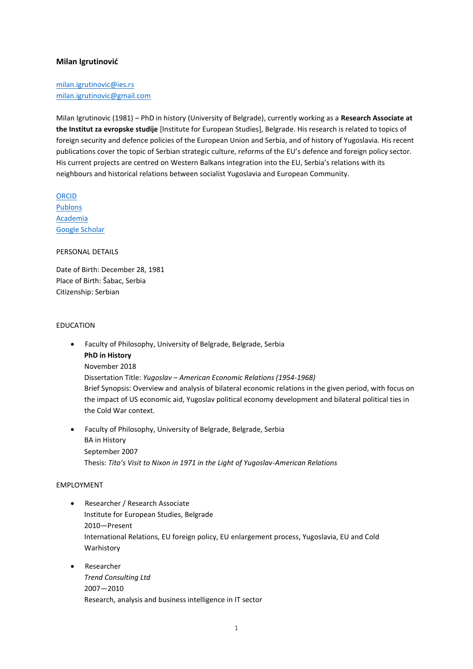# **Milan Igrutinović**

[milan.igrutinovic@ies.rs](mailto:milan.igrutinovic@ies.rs) [milan.igrutinovic@gmail.com](mailto:milan.igrutinovic@gmail.com)

Milan Igrutinovic (1981) – PhD in history (University of Belgrade), currently working as a **Research Associate at the Institut za evropske studije** [Institute for European Studies], Belgrade. His research is related to topics of foreign security and defence policies of the European Union and Serbia, and of history of Yugoslavia. His recent publications cover the topic of Serbian strategic culture, reforms of the EU's defence and foreign policy sector. His current projects are centred on Western Balkans integration into the EU, Serbia's relations with its neighbours and historical relations between socialist Yugoslavia and European Community.

[ORCID](http://orcid.org/0000-0002-7487-518X) [Publons](https://publons.com/researcher/2563990/milan-igrutinovic/) [Academia](https://ies-rs.academia.edu/MilanIgrutinović) [Google Scholar](https://scholar.google.com/citations?user=w9nSAlEAAAAJ&hl=en&oi=ao)

PERSONAL DETAILS

Date of Birth: December 28, 1981 Place of Birth: Šabac, Serbia Citizenship: Serbian

## EDUCATION

- Faculty of Philosophy, University of Belgrade, Belgrade, Serbia **PhD in History** November 2018 Dissertation Title: *Yugoslav – American Economic Relations (1954-1968)* Brief Synopsis: Overview and analysis of bilateral economic relations in the given period, with focus on the impact of US economic aid, Yugoslav political economy development and bilateral political ties in the Cold War context.
- Faculty of Philosophy, University of Belgrade, Belgrade, Serbia BA in History September 2007 Thesis: *Tito's Visit to Nixon in 1971 in the Light of Yugoslav-American Relations*

#### EMPLOYMENT

- Researcher / Research Associate Institute for European Studies, Belgrade 2010—Present International Relations, EU foreign policy, EU enlargement process, Yugoslavia, EU and Cold Warhistory
- Researcher *Trend Consulting Ltd* 2007—2010 Research, analysis and business intelligence in IT sector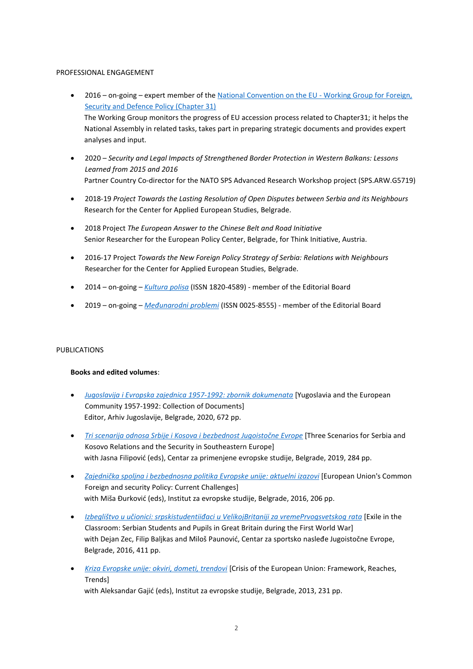#### PROFESSIONAL ENGAGEMENT

- 2016 on-going expert member of the [National Convention on the EU -](https://www.eukonvent.org/radne-grupe-new/spoljni-odnosi) Working Group for Foreign, [Security and Defence Policy \(Chapter 31\)](https://www.eukonvent.org/radne-grupe-new/spoljni-odnosi) The Working Group monitors the progress of EU accession process related to Chapter31; it helps the National Assembly in related tasks, takes part in preparing strategic documents and provides expert analyses and input.
- 2020 *Security and Legal Impacts of Strengthened Border Protection in Western Balkans: Lessons Learned from 2015 and 2016* Partner Country Co-director for the NATO SPS Advanced Research Workshop project (SPS.ARW.G5719)
- 2018-19 *Project Towards the Lasting Resolution of Open Disputes between Serbia and its Neighbours* Research for the Center for Applied European Studies, Belgrade.
- 2018 Project *The European Answer to the Chinese Belt and Road Initiative* Senior Researcher for the European Policy Center, Belgrade, for Think Initiative, Austria.
- 2016-17 Project *Towards the New Foreign Policy Strategy of Serbia: Relations with Neighbours* Researcher for the Center for Applied European Studies, Belgrade.
- 2014 on-going *[Kultura](https://kpolisa.com/impresum/) polisa* (ISSN 1820-4589) member of the Editorial Board
- 2019 on-going *[Međunarodni](https://www.diplomacy.bg.ac.rs/casopisi/medjunarodni-problemi/) problemi* (ISSN 0025-8555) member of the Editorial Board

## PUBLICATIONS

## **Books and edited volumes**:

- *Jugoslavija i Evropska [zajednica 1957-1992: zbornik](https://drive.google.com/file/d/1tHanE594eM7_70lXsykhHPNo4lOQKFkG/view?usp=sharing) dokumenata* [Yugoslavia and the European Community 1957-1992: Collection of Documents] Editor, Arhiv Jugoslavije, Belgrade, 2020, 672 pp.
- *[Tri scenarija](https://drive.google.com/file/d/1OcDvTiiLMmk9NzVCHN4euN-UjWHdmVlO/view?usp=sharing) odnosa Srbije i Kosova i bezbednost Jugoistočne Evrope* [Three Scenarios for Serbia and Kosovo Relations and the Security in Southeastern Europe] with Jasna Filipović (eds), Centar za primenjene evropske studije, Belgrade, 2019, 284 pp.
- *Zajednička spoljna i bezbednosna politika Evropske [unije: aktuelni](https://drive.google.com/file/d/1ciYsKEjYtoMQTy-KKMKzEZA9E1owHwRZ/view?usp=sharing) izazovi* [European Union's Common Foreign and security Policy: Current Challenges] with Miša Đurković (eds), Institut za evropske studije, Belgrade, 2016, 206 pp.
- **•** [Izbeglištvo u učionici: srpskistudentiiđaci u VelikojBritaniji za vremePrvogsvetskog](https://drive.google.com/file/d/19EMUHljWL8f66iWXZ9M98mjiXE4OmpC3/view?usp=sharing) rata [Exile in the Classroom: Serbian Students and Pupils in Great Britain during the First World War] with Dejan Zec, Filip Baljkas and Miloš Paunović, Centar za sportsko nasleđe Jugoistočne Evrope, Belgrade, 2016, 411 pp.
- *Kriza Evropske [unije: okviri, dometi, trendovi](https://drive.google.com/file/d/1W2PaAYuQniJ1Amvc6oKyveUrU3aCohlB/view?usp=sharing)* [Crisis of the European Union: Framework, Reaches, **Trends**]

with Aleksandar Gajić (eds), Institut za evropske studije, Belgrade, 2013, 231 pp.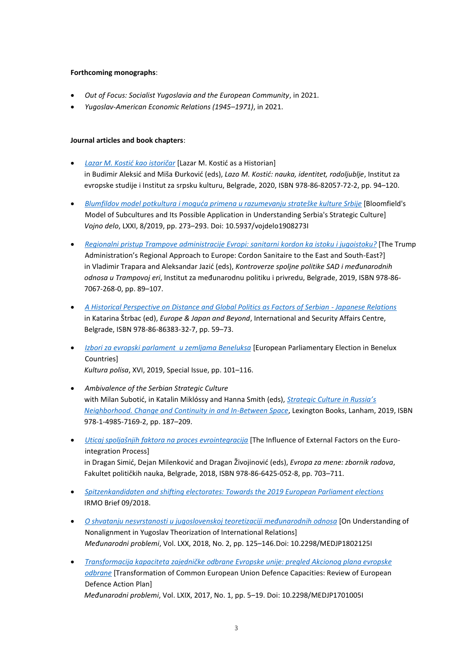## **Forthcoming monographs**:

- *Out of Focus: Socialist Yugoslavia and the European Community*, in 2021.
- *Yugoslav-American Economic Relations (1945–1971)*, in 2021.

#### **Journal articles and book chapters**:

- **•** Lazar M. Kostić kao istoričar [Lazar M. Kostić as a Historian] in Budimir Aleksid and Miša Đurkovid (eds), *Lazo M. Kostid: nauka, identitet, rodoljublje*, Institut za evropske studije i Institut za srpsku kulturu, Belgrade, 2020, ISBN 978-86-82057-72-2, pp. 94–120.
- *[Blumfildov model potkultura](https://drive.google.com/file/d/1mDVvzBz6IOte8xXCw4V_VbZPaz8WBJL-/view?usp=sharing) i moguda primena u razumevanju strateške kulture Srbije* [Bloomfield's Model of Subcultures and Its Possible Application in Understanding Serbia's Strategic Culture] *Vojno delo*, LXXI, 8/2019, pp. 273–293. Doi: 10.5937/vojdelo1908273I
- *Regionalni pristup Trampove [administracije Evropi: sanitarni](https://drive.google.com/file/d/1qjjB9u-vIJaXqT7zRIKVwDM9BImSk9B2/view?usp=sharing) kordon ka istoku i jugoistoku?* [The Trump Administration's Regional Approach to Europe: Cordon Sanitaire to the East and South-East?] in Vladimir Trapara and Aleksandar Jazid (eds), *Kontroverze spoljne politike SAD i međunarodnih odnosa u Trampovoj eri*, Institut za međunarodnu politiku i privredu, Belgrade, 2019, ISBN 978-86- 7067-268-0, pp. 89–107.
- *[A Historical Perspective on Distance and Global Politics as Factors of Serbian -](https://drive.google.com/file/d/18_KEDL8vlrfmVBNAKvU0NclIJYBk45Qw/view?usp=sharing) Japanese Relations* in Katarina Štrbac (ed), *Europe & Japan and Beyond*, International and Security Affairs Centre, Belgrade, ISBN 978-86-86383-32-7, pp. 59–73.
- *Izbori za evropski [parlament u zemljama](https://drive.google.com/file/d/1J9zpCsh8CYHqtjR1uzt_VMeMo6NebN50/view?usp=sharing) Beneluksa* [European Parliamentary Election in Benelux Countries] *Kultura polisa*, XVI, 2019, Special Issue, pp. 101–116.
- *Ambivalence of the Serbian Strategic Culture* with Milan Subotić, in Katalin Miklóssy and Hanna Smith (eds), *[Strategic Culture in Russia](https://rowman.com/ISBN/9781498571692/Strategic-Culture-in-Russia’s-Neighborhood-Change-and-Continuity-in-an-In-Between-Space)'s [Neighborhood. Change and Continuity in and In-Between Space](https://rowman.com/ISBN/9781498571692/Strategic-Culture-in-Russia’s-Neighborhood-Change-and-Continuity-in-an-In-Between-Space)*, Lexington Books, Lanham, 2019, ISBN 978-1-4985-7169-2, pp. 187–209.
- *Uticaj spoljašnjih faktora na proces [evrointegracija](https://drive.google.com/file/d/1yUI1lRoLaKM-jK69frFoWUE6mW3y5bSP/view?usp=sharing)* [The Influence of External Factors on the Eurointegration Process] in Dragan Simid, Dejan Milenkovid and Dragan Živojinovid (eds), *Evropa za mene: zbornik radova*, Fakultet političkih nauka, Belgrade, 2018, ISBN 978-86-6425-052-8, pp. 703–711.
- *[Spitzenkandidaten and shifting electorates: Towards the 2019 European Parliament elections](https://drive.google.com/file/d/1qZYELZp_v3RHLz6G8lA-yn9LoqmCz9Xm/view?usp=sharing)* IRMO Brief 09/2018.
- *O shvatanju [nesvrstanosti u jugoslovenskoj](https://drive.google.com/file/d/1AJiPwzghHPn1Nz60g9pe-yPdi9d8_DTf/view?usp=sharing) teoretizaciji međunarodnih odnosa* [On Understanding of Nonalignment in Yugoslav Theorization of International Relations] *Međunarodni problemi*, Vol. LXX, 2018, No. 2, pp. 125–146.Doi: 10.2298/MEDJP1802125I
- *Transformacija kapaciteta zajedničke odbrane Evropske unije: pregled [Akcionog plana evropske](https://drive.google.com/file/d/1ZW6J2-EJdnDypmSaUPeNRfcncA239kL0/view?usp=sharing) [odbrane](https://drive.google.com/file/d/1ZW6J2-EJdnDypmSaUPeNRfcncA239kL0/view?usp=sharing)* [Transformation of Common European Union Defence Capacities: Review of European Defence Action Plan] *Međunarodni problemi*, Vol. LXIX, 2017, No. 1, pp. 5–19. Doi: 10.2298/MEDJP1701005I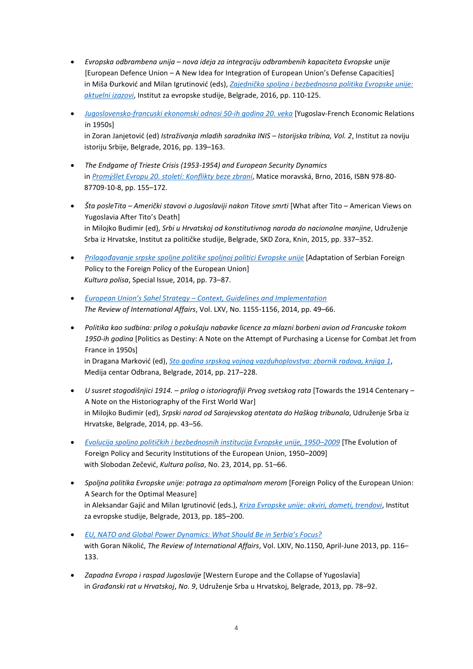- *Evropska odbrambena unija – nova ideja za integraciju odbrambenih kapaciteta Evropske unije* [European Defence Union – A New Idea for Integration of European Union's Defense Capacities+ in Miša Đurkovid and Milan Igrutinovid (eds), *Zajednička spoljna i [bezbednosna](https://drive.google.com/file/d/1ciYsKEjYtoMQTy-KKMKzEZA9E1owHwRZ/view?usp=sharing) politika Evropske unije: [aktuelni](https://drive.google.com/file/d/1ciYsKEjYtoMQTy-KKMKzEZA9E1owHwRZ/view?usp=sharing) izazovi*, Institut za evropske studije, Belgrade, 2016, pp. 110-125.
- *Jugoslovensko-francuski ekonomski [odnosi 50-ih godina 20. veka](https://drive.google.com/file/d/1FV5qZeQXcJJ3hpUbS_GAIktTOmoUrKey/view?usp=sharing)* [Yugoslav-French Economic Relations in 1950s] in Zoran Janjetovid (ed) *Istraživanja mladih saradnika INIS – Istorijska tribina, Vol. 2*, Institut za noviju istoriju Srbije, Belgrade, 2016, pp. 139–163.
- *The Endgame of Trieste Crisis (1953-1954) and European Security Dynamics*  in *Promýšlet [Evropu 20. století: Konflikty](https://www.muni.cz/vyzkum/publikace/1339549) beze zbraní*, Matice moravská, Brno, 2016, ISBN 978-80- 87709-10-8, pp. 155–172.
- *Šta posleTita – Američki stavovi o Jugoslaviji nakon Titove smrti* [What after Tito American Views on Yugoslavia After Tito's Death] in Milojko Budimir (ed), *Srbi u Hrvatskoj od konstitutivnog naroda do nacionalne manjine*, Udruženje Srba iz Hrvatske, Institut za političke studije, Belgrade, SKD Zora, Knin, 2015, pp. 337–352.
- *[Prilagođavanje](https://drive.google.com/file/d/1tIK9tgzoahvDRCO-JtOSk1LSUKbQnq64/view?usp=sharing) srpske spoljne politike spoljnoj politici Evropske unije* [Adaptation of Serbian Foreign Policy to the Foreign Policy of the European Union] *Kultura polisa*, Special Issue, 2014, pp. 73–87.
- *European Union's Sahel Strategy – [Context, Guidelines and Implementation](https://drive.google.com/file/d/1KGjihPS_zDUfd7tJQn4ZFZDtdU9PY-fy/view?usp=sharing) The Review of International Affairs*, Vol. LXV, No. 1155-1156, 2014, pp. 49–66.
- *Politika kao sudbina: prilog o pokušaju nabavke licence za mlazni borbeni avion od Francuske tokom 1950-ih godina* [Politics as Destiny: A Note on the Attempt of Purchasing a License for Combat Jet from France in 1950s] in Dragana Markovid (ed), *Sto godina srpskog vojnog [vazduhoplovstva: zbornik](https://www.vojnaknjizara.com/shop/sto-godina-srpskog-vojnog-vazduhoplovstva/) radova, knjiga 1*, Medija centar Odbrana, Belgrade, 2014, pp. 217–228.
- *U susret stogodišnjici 1914. – prilog o istoriografiji Prvog svetskog rata* [Towards the 1914 Centenary A Note on the Historiography of the First World War] in Milojko Budimir (ed), *Srpski narod od Sarajevskog atentata do Haškog tribunala*, Udruženje Srba iz Hrvatske, Belgrade, 2014, pp. 43–56.
- *Evolucija spolјno političkih i [bezbednosnih](https://drive.google.com/file/d/1SiNI3FX5lgJhpnpiqiG8FT2jVMFVwQw9/view?usp=sharing) institucija Evropske unije, 1950–2009* [The Evolution of Foreign Policy and Security Institutions of the European Union, 1950–2009] with Slobodan Zečević, *Kultura polisa*, No. 23, 2014, pp. 51-66.
- *Spolјna politika Evropske unije: potraga za optimalnom merom* [Foreign Policy of the European Union: A Search for the Optimal Measure] in Aleksandar Gajid and Milan Igrutinovid (eds.), *Kriza Evropske [unije: okviri, dometi, trendovi](https://drive.google.com/file/d/1W2PaAYuQniJ1Amvc6oKyveUrU3aCohlB/view?usp=sharing)*, Institut za evropske studije, Belgrade, 2013, pp. 185–200.
- *[EU, NATO and Global Power Dynamics: What Should Be in](https://drive.google.com/file/d/19tuqWXL1kQseqU_cHhA0Q9282V073Hvb/view?usp=sharing) Serbia's Focus?* with Goran Nikolid, *The Review of International Affairs*, Vol. LXIV, No.1150, April-June 2013, pp. 116– 133.
- *Zapadna Evropa i raspad Jugoslavije* [Western Europe and the Collapse of Yugoslavia] in *Građanski rat u Hrvatskoj*, *No. 9*, Udruženje Srba u Hrvatskoj, Belgrade, 2013, pp. 78–92.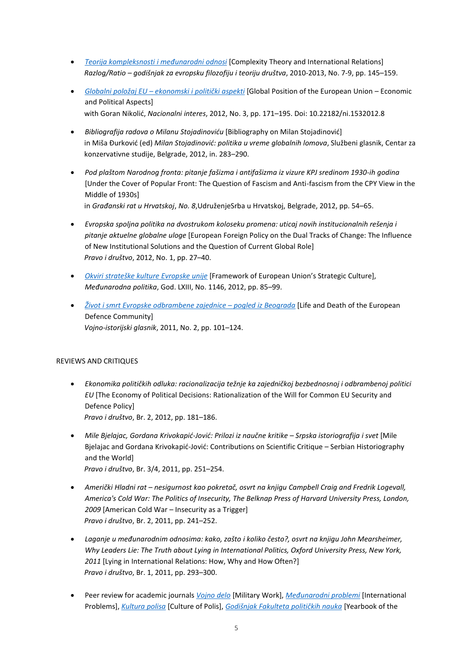- *Teorija [kompleksnosti](https://drive.google.com/file/d/1kLzWwsf0QBUwW6ARMPkFM5T2Wu-m940u/view?usp=sharing) i međunarodni odnosi* [Complexity Theory and International Relations] *Razlog/Ratio – godišnjak za evropsku filozofiju i teoriju društva*, 2010-2013, No. 7-9, pp. 145–159.
- *Globalni [položaj EU –](https://drive.google.com/file/d/1ne1m5yNg47sWOtp7szqDZT-X1Ortound/view?usp=sharing) ekonomski i politički aspekti* [Global Position of the European Union Economic and Political Aspects] with Goran Nikolid, *Nacionalni interes*, 2012, No. 3, pp. 171–195. Doi: 10.22182/ni.1532012.8
- **•** Bibliografija radova o Milanu Stojadinoviću [Bibliography on Milan Stojadinović] in Miša Đurkovid (ed) *Milan Stojadinovid: politika u vreme globalnih lomova*, Službeni glasnik, Centar za konzervativne studije, Belgrade, 2012, in. 283–290.
- *Pod plaštom Narodnog fronta: pitanje fašizma i antifašizma iz vizure KPJ sredinom 1930-ih godina* [Under the Cover of Popular Front: The Question of Fascism and Anti-fascism from the CPY View in the Middle of 1930s]

in *Građanski rat u Hrvatskoj*, *No. 8*,UdruženjeSrba u Hrvatskoj, Belgrade, 2012, pp. 54–65.

- *Evropska spolјna politika na dvostrukom koloseku promena: uticaj novih institucionalnih rešenja i pitanje aktuelne globalne uloge* [European Foreign Policy on the Dual Tracks of Change: The Influence of New Institutional Solutions and the Question of Current Global Role] *Pravo i društvo*, 2012, No. 1, pp. 27–40.
- **•** Okviri [strateške](https://drive.google.com/file/d/1aJWmorkcwR2WzPclc4QWoTcc389cEM8v/view?usp=sharing) kulture *Evropske unije* [Framework of European Union's Strategic Culture], *Međunarodna politika*, God. LXIII, No. 1146, 2012, pp. 85–99.
- *Život i smrt Evropske [odbrambene](https://drive.google.com/file/d/19H2aJY2O9WpRz3MkrErgHSpbq51J4Tap/view?usp=sharing) zajednice – pogled iz Beograda* [Life and Death of the European Defence Community] *Vojno-istorijski glasnik*, 2011, No. 2, pp. 101–124.

# REVIEWS AND CRITIQUES

- *Ekonomika političkih odluka: racionalizacija težnje ka zajedničkoj bezbednosnoj i odbrambenoj politici EU* [The Economy of Political Decisions: Rationalization of the Will for Common EU Security and Defence Policy] *Pravo i društvo*, Br. 2, 2012, pp. 181–186.
- *Mile Bjelajac, Gordana Krivokapid-Jovid: Prilozi iz naučne kritike – Srpska istoriografija i svet* [Mile Bjelajac and Gordana Krivokapić-Jović: Contributions on Scientific Critique - Serbian Historiography and the World] *Pravo i društvo*, Br. 3/4, 2011, pp. 251–254.
- *Američki Hladni rat – nesigurnost kao pokretač, osvrt na knjigu Campbell Craig and Fredrik Logevall, America's Cold War: The Politics of Insecurity, The Belknap Press of Harvard University Press, London, 2009* [American Cold War – Insecurity as a Trigger] *Pravo i društvo*, Br. 2, 2011, pp. 241–252.
- *Laganje u međunarodnim odnosima: kako, zašto i koliko često?, osvrt na knjigu John Mearsheimer, Why Leaders Lie: The Truth about Lying in International Politics, Oxford University Press, New York, 2011* [Lying in International Relations: How, Why and How Often?] *Pravo i društvo*, Br. 1, 2011, pp. 293–300.
- Peer review for academic journals *[Vojno](http://www.vojnodelo.mod.gov.rs/) delo* [Military Work], *[Međunarodni](https://www.diplomacy.bg.ac.rs/casopisi/medjunarodni-problemi/) problemi* [International Problems], *[Kultura](https://kpolisa.com/) polisa* [Culture of Polis], *[Godišnjak](https://www.fpn.bg.ac.rs/godisnjak-fakulteta-politickih-nauka) Fakulteta političkih nauka* [Yearbook of the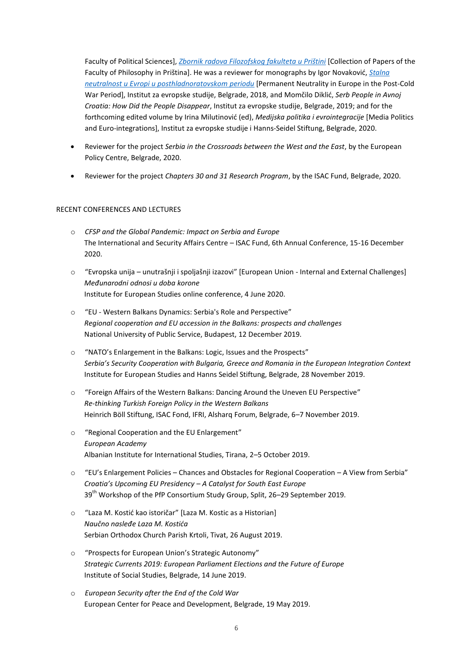Faculty of Political Sciences], *Zbornik radova Filozofskog [fakulteta u Prištini](http://en.fifa.pr.ac.rs/publications/journal/)* [Collection of Papers of the Faculty of Philosophy in Priština]. He was a reviewer for monographs by Igor Novaković, *[Stalna](http://www.ies.rs/en/igor-novakovic-permanent-neutrality-europe/) [neutralnost u Evropi u posthladnoratovskom](http://www.ies.rs/en/igor-novakovic-permanent-neutrality-europe/) periodu* [Permanent Neutrality in Europe in the Post-Cold War Period], Institut za evropske studije, Belgrade, 2018, and Momčilo Diklid, *Serb People in Avnoj Croatia: How Did the People Disappear*, Institut za evropske studije, Belgrade, 2019; and for the forthcoming edited volume by Irina Milutinovid (ed), *Medijska politika i evrointegracije* [Media Politics and Euro-integrations], Institut za evropske studije i Hanns-Seidel Stiftung, Belgrade, 2020.

- Reviewer for the project *Serbia in the Crossroads between the West and the East*, by the European Policy Centre, Belgrade, 2020.
- Reviewer for the project *Chapters 30 and 31 Research Program*, by the ISAC Fund, Belgrade, 2020.

## RECENT CONFERENCES AND LECTURES

- o *CFSP and the Global Pandemic: Impact on Serbia and Europe* The International and Security Affairs Centre – ISAC Fund, 6th Annual Conference, 15-16 December 2020.
- o "Evropska unija unutrašnji i spoljašnji izazovi" [European Union Internal and External Challenges] *Međunarodni odnosi u doba korone* Institute for European Studies online conference, 4 June 2020.
- o "EU Western Balkans Dynamics: Serbia's Role and Perspective" *Regional cooperation and EU accession in the Balkans: prospects and challenges* National University of Public Service, Budapest, 12 December 2019.
- o "NATO's Enlargement in the Balkans: Logic, Issues and the Prospects" *Serbia's Security Cooperation with Bulgaria, Greece and Romania in the European Integration Context* Institute for European Studies and Hanns Seidel Stiftung, Belgrade, 28 November 2019.
- o "Foreign Affairs of the Western Balkans: Dancing Around the Uneven EU Perspective" *Re-thinking Turkish Foreign Policy in the Western Balkans* Heinrich Böll Stiftung, ISAC Fond, IFRI, Alsharq Forum, Belgrade, 6–7 November 2019.
- o "Regional Cooperation and the EU Enlargement" *European Academy* Albanian Institute for International Studies, Tirana, 2–5 October 2019.
- o "EU's Enlargement Policies Chances and Obstacles for Regional Cooperation A View from Serbia" *Croatia's Upcoming EU Presidency – A Catalyst for South East Europe* 39<sup>th</sup> Workshop of the PfP Consortium Study Group, Split, 26–29 September 2019.
- o "Laza M. Kostid kao istoričar" [Laza M. Kostic as a Historian] *Naučno nasleđe Laza M. Kostida* Serbian Orthodox Church Parish Krtoli, Tivat, 26 August 2019.
- o "Prospects for European Union's Strategic Autonomy" *Strategic Currents 2019: European Parliament Elections and the Future of Europe* Institute of Social Studies, Belgrade, 14 June 2019.
- o *European Security after the End of the Cold War* European Center for Peace and Development, Belgrade, 19 May 2019.